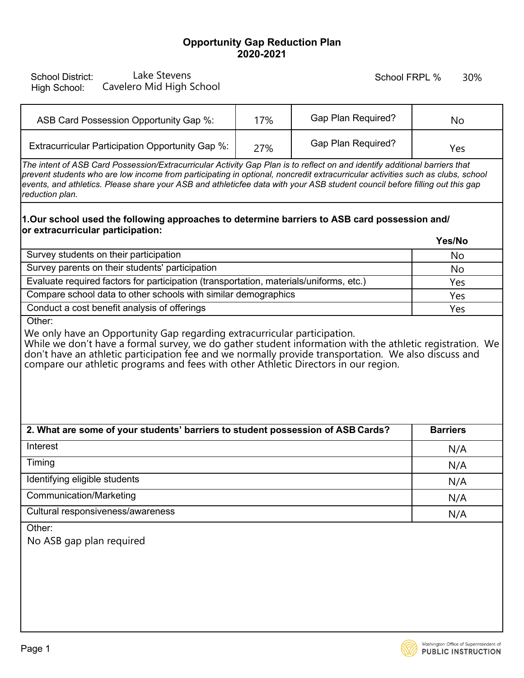## **Opportunity Gap Reduction Plan 2020-2021**

| Lake Stevens<br><b>School District:</b><br>Cavelero Mid High School<br>High School:                                                                                                                                                                                                                                                                                                                            |     | School FRPL %             | 30%             |  |
|----------------------------------------------------------------------------------------------------------------------------------------------------------------------------------------------------------------------------------------------------------------------------------------------------------------------------------------------------------------------------------------------------------------|-----|---------------------------|-----------------|--|
| ASB Card Possession Opportunity Gap %:                                                                                                                                                                                                                                                                                                                                                                         | 17% | Gap Plan Required?        | No              |  |
| Extracurricular Participation Opportunity Gap %:                                                                                                                                                                                                                                                                                                                                                               | 27% | <b>Gap Plan Required?</b> | Yes             |  |
| The intent of ASB Card Possession/Extracurricular Activity Gap Plan is to reflect on and identify additional barriers that<br>prevent students who are low income from participating in optional, noncredit extracurricular activities such as clubs, school<br>events, and athletics. Please share your ASB and athleticfee data with your ASB student council before filling out this gap<br>reduction plan. |     |                           |                 |  |
| 1.Our school used the following approaches to determine barriers to ASB card possession and/<br>or extracurricular participation:<br>Yes/No                                                                                                                                                                                                                                                                    |     |                           |                 |  |
| Survey students on their participation                                                                                                                                                                                                                                                                                                                                                                         |     |                           | No              |  |
| Survey parents on their students' participation                                                                                                                                                                                                                                                                                                                                                                |     |                           | No              |  |
| Evaluate required factors for participation (transportation, materials/uniforms, etc.)                                                                                                                                                                                                                                                                                                                         |     |                           | Yes             |  |
| Compare school data to other schools with similar demographics                                                                                                                                                                                                                                                                                                                                                 |     |                           | Yes             |  |
| Conduct a cost benefit analysis of offerings<br>Other:                                                                                                                                                                                                                                                                                                                                                         |     |                           | Yes             |  |
| We only have an Opportunity Gap regarding extracurricular participation.<br>While we don't have a formal survey, we do gather student information with the athletic registration. We<br>don't have an athletic participation fee and we normally provide transportation. We also discuss and<br>compare our athletic programs and fees with other Athletic Directors in our region.                            |     |                           |                 |  |
| 2. What are some of your students' barriers to student possession of ASB Cards?                                                                                                                                                                                                                                                                                                                                |     |                           | <b>Barriers</b> |  |
| Interest                                                                                                                                                                                                                                                                                                                                                                                                       |     |                           | N/A             |  |
| Timing                                                                                                                                                                                                                                                                                                                                                                                                         |     |                           | N/A             |  |
| Identifying eligible students                                                                                                                                                                                                                                                                                                                                                                                  |     |                           | N/A             |  |
| <b>Communication/Marketing</b>                                                                                                                                                                                                                                                                                                                                                                                 |     |                           | N/A             |  |
| Cultural responsiveness/awareness                                                                                                                                                                                                                                                                                                                                                                              |     |                           | N/A             |  |
| Other:<br>No ASB gap plan required                                                                                                                                                                                                                                                                                                                                                                             |     |                           |                 |  |